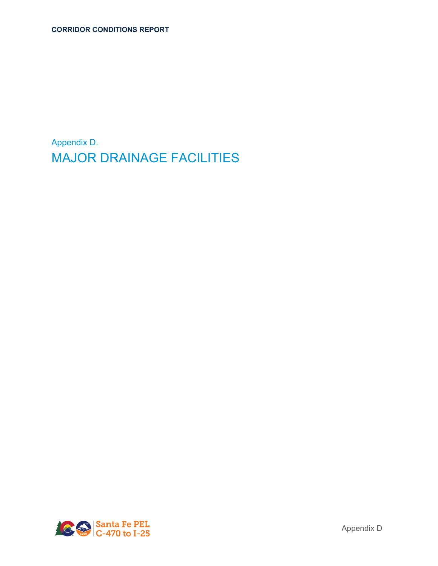Appendix D. MAJOR DRAINAGE FACILITIES